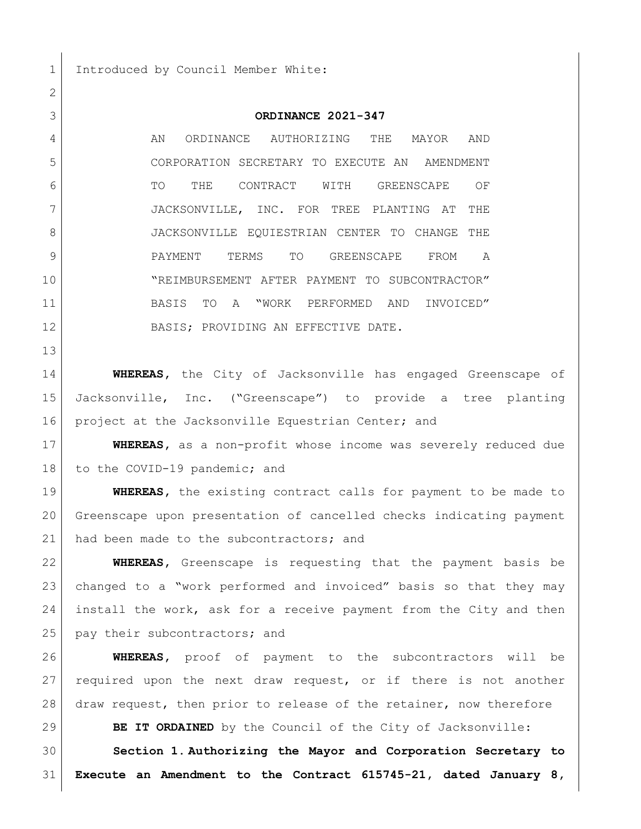1 Introduced by Council Member White:

## **ORDINANCE 2021-347**

4 AN ORDINANCE AUTHORIZING THE MAYOR AND CORPORATION SECRETARY TO EXECUTE AN AMENDMENT 6 TO THE CONTRACT WITH GREENSCAPE OF JACKSONVILLE, INC. FOR TREE PLANTING AT THE 8 JACKSONVILLE EOUIESTRIAN CENTER TO CHANGE THE PAYMENT TERMS TO GREENSCAPE FROM A "REIMBURSEMENT AFTER PAYMENT TO SUBCONTRACTOR" BASIS TO A "WORK PERFORMED AND INVOICED" 12 BASIS; PROVIDING AN EFFECTIVE DATE.

 **WHEREAS,** the City of Jacksonville has engaged Greenscape of Jacksonville, Inc. ("Greenscape") to provide a tree planting 16 project at the Jacksonville Equestrian Center; and

 **WHEREAS,** as a non-profit whose income was severely reduced due 18 to the COVID-19 pandemic; and

**WHEREAS,** the existing contract calls for payment to be made to Greenscape upon presentation of cancelled checks indicating payment 21 had been made to the subcontractors; and

 **WHEREAS,** Greenscape is requesting that the payment basis be changed to a "work performed and invoiced" basis so that they may install the work, ask for a receive payment from the City and then 25 pay their subcontractors; and

 **WHEREAS,** proof of payment to the subcontractors will be 27 required upon the next draw request, or if there is not another draw request, then prior to release of the retainer, now therefore

**BE IT ORDAINED** by the Council of the City of Jacksonville:

 **Section 1. Authorizing the Mayor and Corporation Secretary to Execute an Amendment to the Contract 615745-21, dated January 8,**